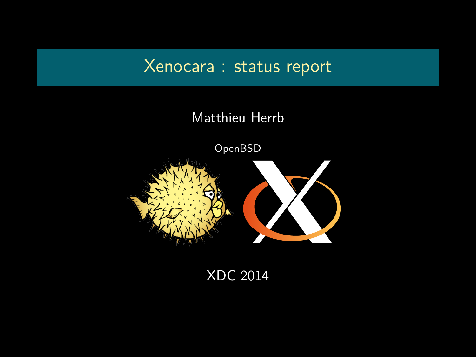## Xenocara : status report

#### Matthieu Herrb



XDC 2014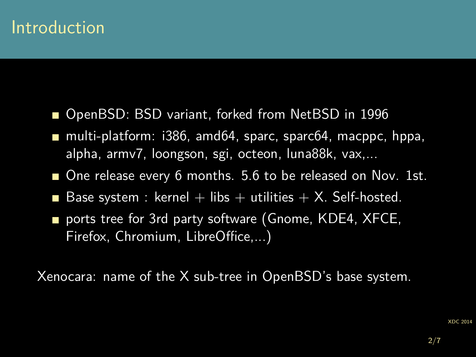## Introduction

- OpenBSD: BSD variant, forked from NetBSD in 1996
- multi-platform: i386, amd64, sparc, sparc64, macppc, hppa, alpha, armv7, loongson, sgi, octeon, luna88k, vax,...
- One release every 6 months. 5.6 to be released on Nov. 1st.
- Base system : kernel + libs + utilities + X. Self-hosted.
- ports tree for 3rd party software (Gnome, KDE4, XFCE, Firefox, Chromium, LibreOffice,...)

Xenocara: name of the X sub-tree in OpenBSD's base system.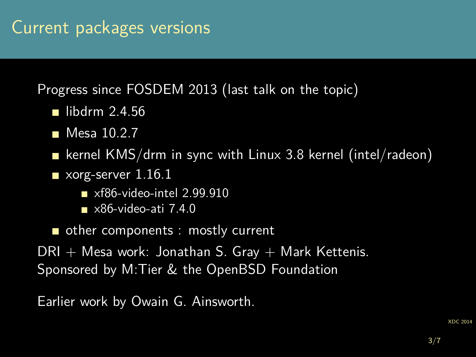Progress since FOSDEM 2013 (last talk on the topic)

- libdrm  $2.4.56$
- Mesa 10.2.7
- **E** kernel KMS/drm in sync with Linux 3.8 kernel (intel/radeon)
- xorg-server 1.16.1
	- $\blacksquare$  xf86-video-intel 2.99.910
	- $\blacktriangleright$  x86-video-ati 7.4.0
- other components : mostly current

 $DRI + Mesa$  work: Jonathan S. Gray  $+$  Mark Kettenis. Sponsored by M:Tier & the OpenBSD Foundation

Earlier work by Owain G. Ainsworth.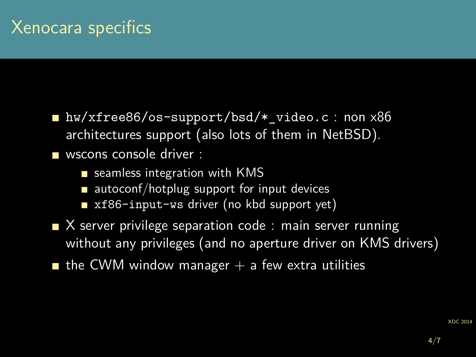■ hw/xfree86/os-support/bsd/\* video.c : non x86 architectures support (also lots of them in NetBSD).

wscons console driver :

- seamless integration with KMS
- autoconf/hotplug support for input devices T
- xf86-input-ws driver (no kbd support yet)
- $\blacksquare$  X server privilege separation code : main server running without any privileges (and no aperture driver on KMS drivers)
- **the CWM window manager**  $+$  a few extra utilities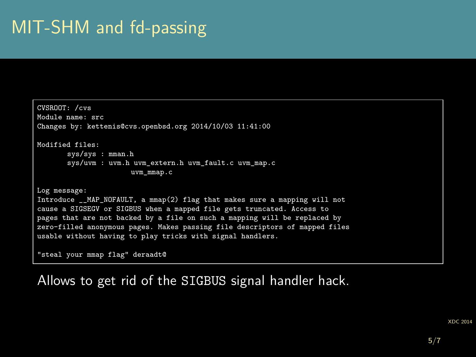# MIT-SHM and fd-passing

```
CVSROOT: /cvs
Module name: src
Changes by: kettenis@cvs.openbsd.org 2014/10/03 11:41:00
Modified files:
       sys/sys : mman.h
       sys/uvm : uvm.h uvm extern.h uvm fault.c uvm map.c
                      uvm_mmap.c
Log message:
Introduce __MAP_NOFAULT, a mmap(2) flag that makes sure a mapping will not
cause a SIGSEGV or SIGBUS when a mapped file gets truncated. Access to
pages that are not backed by a file on such a mapping will be replaced by
zero-filled anonymous pages. Makes passing file descriptors of mapped files
usable without having to play tricks with signal handlers.
"steal your mmap flag" deraadt@
```
Allows to get rid of the SIGBUS signal handler hack.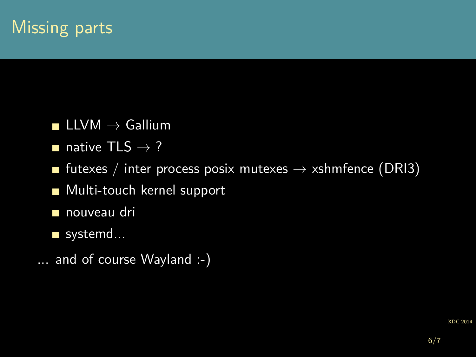# Missing parts

- **LLVM**  $\rightarrow$  Gallium
- native TLS  $\rightarrow$  ?
- **■** futexes / inter process posix mutexes  $\rightarrow$  xshmfence (DRI3)
- **Multi-touch kernel support**
- nouveau dri
- systemd...
- ... and of course Wayland :-)